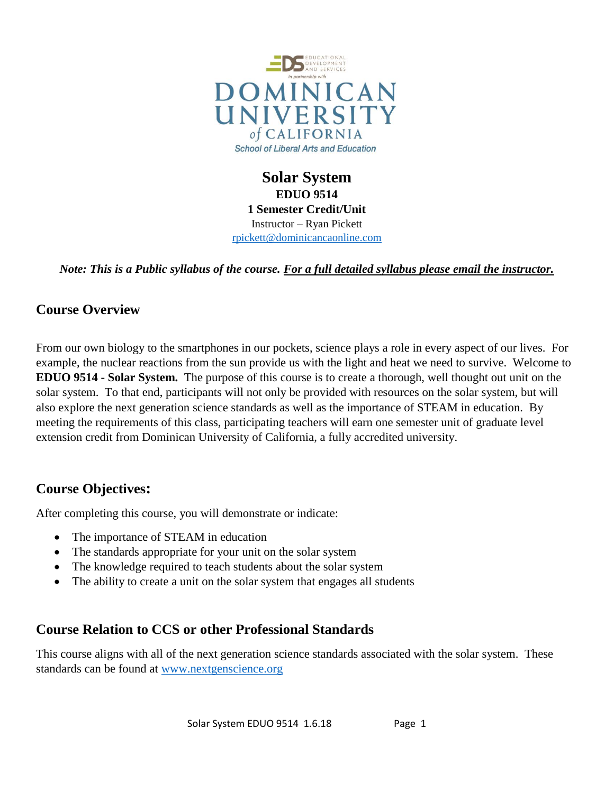

**Solar System EDUO 9514 1 Semester Credit/Unit** Instructor – Ryan Pickett [rpickett@dominicancaonline.com](mailto:rpickett@dominicancaonline.com)

*Note: This is a Public syllabus of the course. For a full detailed syllabus please email the instructor.*

# **Course Overview**

From our own biology to the smartphones in our pockets, science plays a role in every aspect of our lives. For example, the nuclear reactions from the sun provide us with the light and heat we need to survive. Welcome to **EDUO 9514 - Solar System.** The purpose of this course is to create a thorough, well thought out unit on the solar system. To that end, participants will not only be provided with resources on the solar system, but will also explore the next generation science standards as well as the importance of STEAM in education. By meeting the requirements of this class, participating teachers will earn one semester unit of graduate level extension credit from Dominican University of California, a fully accredited university.

# **Course Objectives:**

After completing this course, you will demonstrate or indicate:

- The importance of STEAM in education
- The standards appropriate for your unit on the solar system
- The knowledge required to teach students about the solar system
- The ability to create a unit on the solar system that engages all students

### **Course Relation to CCS or other Professional Standards**

This course aligns with all of the next generation science standards associated with the solar system. These standards can be found at [www.nextgenscience.org](http://www.nextgenscience.org/)